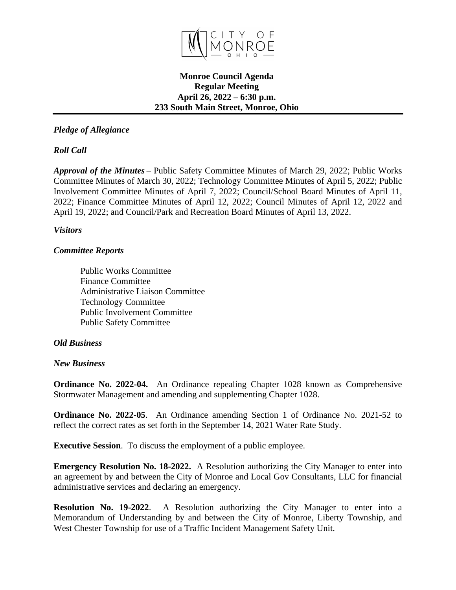

### **Monroe Council Agenda Regular Meeting April 26, 2022 – 6:30 p.m. 233 South Main Street, Monroe, Ohio**

# *Pledge of Allegiance*

# *Roll Call*

*Approval of the Minutes* – Public Safety Committee Minutes of March 29, 2022; Public Works Committee Minutes of March 30, 2022; Technology Committee Minutes of April 5, 2022; Public Involvement Committee Minutes of April 7, 2022; Council/School Board Minutes of April 11, 2022; Finance Committee Minutes of April 12, 2022; Council Minutes of April 12, 2022 and April 19, 2022; and Council/Park and Recreation Board Minutes of April 13, 2022.

### *Visitors*

## *Committee Reports*

Public Works Committee Finance Committee Administrative Liaison Committee Technology Committee Public Involvement Committee Public Safety Committee

## *Old Business*

### *New Business*

**Ordinance No. 2022-04.** An Ordinance repealing Chapter 1028 known as Comprehensive Stormwater Management and amending and supplementing Chapter 1028.

**Ordinance No. 2022-05**. An Ordinance amending Section 1 of Ordinance No. 2021-52 to reflect the correct rates as set forth in the September 14, 2021 Water Rate Study.

**Executive Session.** To discuss the employment of a public employee.

**Emergency Resolution No. 18-2022.** A Resolution authorizing the City Manager to enter into an agreement by and between the City of Monroe and Local Gov Consultants, LLC for financial administrative services and declaring an emergency.

**Resolution No. 19-2022**. A Resolution authorizing the City Manager to enter into a Memorandum of Understanding by and between the City of Monroe, Liberty Township, and West Chester Township for use of a Traffic Incident Management Safety Unit.